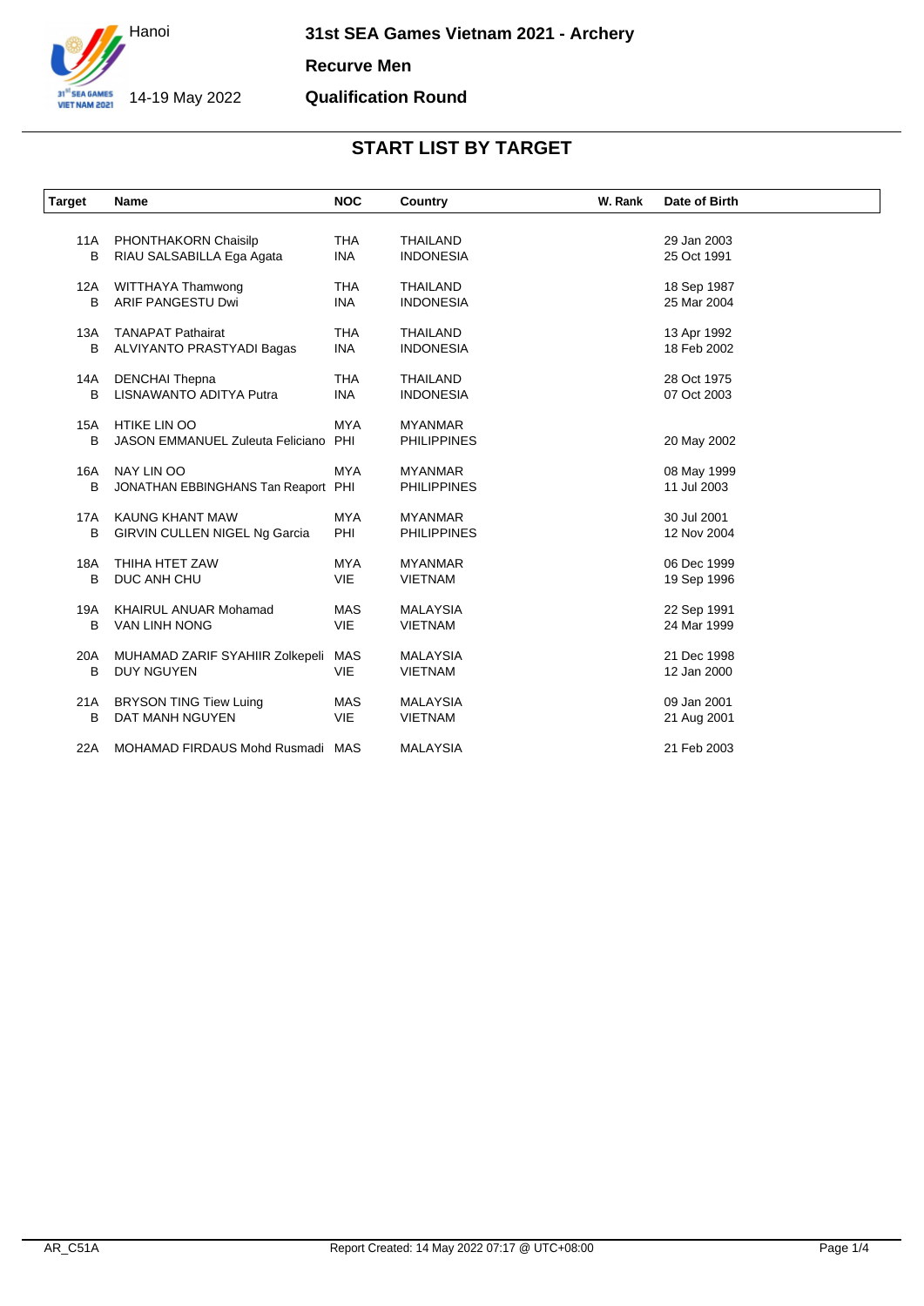

**Recurve Men**

#### **Qualification Round**

| <b>Target</b> | <b>Name</b>                             | <b>NOC</b> | Country            | W. Rank | Date of Birth |
|---------------|-----------------------------------------|------------|--------------------|---------|---------------|
|               |                                         |            |                    |         |               |
| 11A           | PHONTHAKORN Chaisilp                    | <b>THA</b> | <b>THAILAND</b>    |         | 29 Jan 2003   |
| В             | RIAU SALSABILLA Ega Agata               | <b>INA</b> | <b>INDONESIA</b>   |         | 25 Oct 1991   |
| 12A           | WITTHAYA Thamwong                       | <b>THA</b> | <b>THAILAND</b>    |         | 18 Sep 1987   |
| В             | <b>ARIF PANGESTU Dwi</b>                | <b>INA</b> | <b>INDONESIA</b>   |         | 25 Mar 2004   |
| 13A           | <b>TANAPAT Pathairat</b>                | <b>THA</b> | THAILAND           |         | 13 Apr 1992   |
| В             | ALVIYANTO PRASTYADI Bagas               | <b>INA</b> | <b>INDONESIA</b>   |         | 18 Feb 2002   |
| 14A           | <b>DENCHAI Thepna</b>                   | <b>THA</b> | <b>THAILAND</b>    |         | 28 Oct 1975   |
| B             | <b>LISNAWANTO ADITYA Putra</b>          | <b>INA</b> | <b>INDONESIA</b>   |         | 07 Oct 2003   |
| 15A           | <b>HTIKE LIN OO</b>                     | <b>MYA</b> | <b>MYANMAR</b>     |         |               |
| B             | <b>JASON EMMANUEL Zuleuta Feliciano</b> | PHI        | <b>PHILIPPINES</b> |         | 20 May 2002   |
| 16A           | NAY LIN OO                              | <b>MYA</b> | <b>MYANMAR</b>     |         | 08 May 1999   |
| B             | JONATHAN EBBINGHANS Tan Reaport PHI     |            | <b>PHILIPPINES</b> |         | 11 Jul 2003   |
| 17A           | KAUNG KHANT MAW                         | <b>MYA</b> | <b>MYANMAR</b>     |         | 30 Jul 2001   |
| B             | <b>GIRVIN CULLEN NIGEL Ng Garcia</b>    | PHI        | <b>PHILIPPINES</b> |         | 12 Nov 2004   |
| 18A           | THIHA HTET ZAW                          | <b>MYA</b> | <b>MYANMAR</b>     |         | 06 Dec 1999   |
| B             | DUC ANH CHU                             | <b>VIE</b> | <b>VIETNAM</b>     |         | 19 Sep 1996   |
| 19A           | <b>KHAIRUL ANUAR Mohamad</b>            | <b>MAS</b> | <b>MALAYSIA</b>    |         | 22 Sep 1991   |
| B             | <b>VAN LINH NONG</b>                    | VIE        | <b>VIETNAM</b>     |         | 24 Mar 1999   |
| 20A           | MUHAMAD ZARIF SYAHIIR Zolkepeli         | MAS        | <b>MALAYSIA</b>    |         | 21 Dec 1998   |
| В             | <b>DUY NGUYEN</b>                       | VIE        | <b>VIETNAM</b>     |         | 12 Jan 2000   |
| 21A           | <b>BRYSON TING Tiew Luing</b>           | <b>MAS</b> | <b>MALAYSIA</b>    |         | 09 Jan 2001   |
| в             | DAT MANH NGUYEN                         | <b>VIE</b> | <b>VIETNAM</b>     |         | 21 Aug 2001   |
| 22A           | MOHAMAD FIRDAUS Mohd Rusmadi MAS        |            | <b>MALAYSIA</b>    |         | 21 Feb 2003   |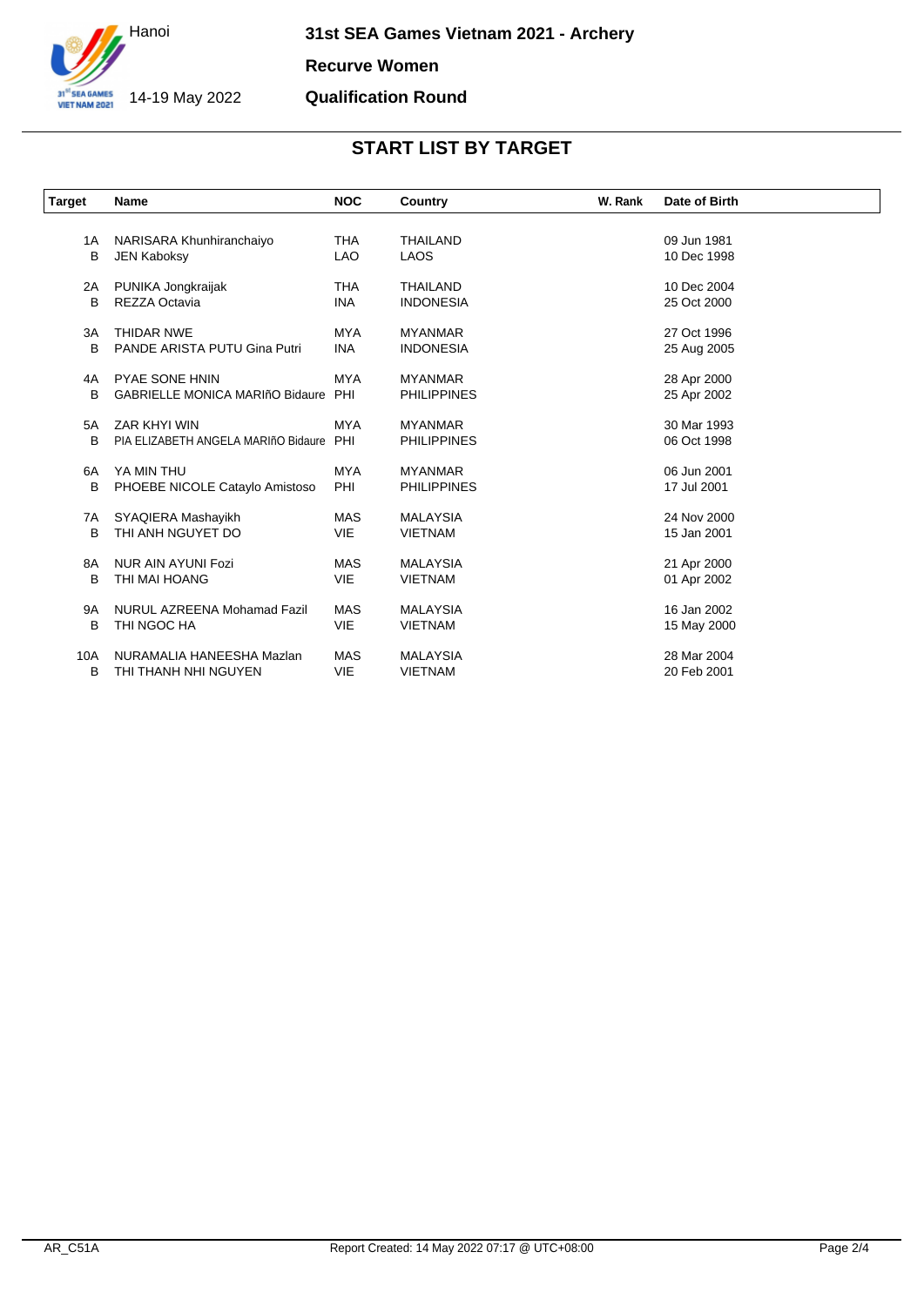

**Recurve Women**

### **Qualification Round**

| <b>Target</b> | <b>Name</b>                            | <b>NOC</b> | Country            | W. Rank | Date of Birth |
|---------------|----------------------------------------|------------|--------------------|---------|---------------|
| 1A            | NARISARA Khunhiranchaiyo               | <b>THA</b> | <b>THAILAND</b>    |         | 09 Jun 1981   |
| B             | <b>JEN Kaboksy</b>                     | <b>LAO</b> | <b>LAOS</b>        |         | 10 Dec 1998   |
| 2A            | PUNIKA Jongkraijak                     | <b>THA</b> | <b>THAILAND</b>    |         | 10 Dec 2004   |
| B             | REZZA Octavia                          | <b>INA</b> | <b>INDONESIA</b>   |         | 25 Oct 2000   |
| 3A            | <b>THIDAR NWE</b>                      | <b>MYA</b> | <b>MYANMAR</b>     |         | 27 Oct 1996   |
| B             | PANDE ARISTA PUTU Gina Putri           | <b>INA</b> | <b>INDONESIA</b>   |         | 25 Aug 2005   |
| 4A            | <b>PYAE SONE HNIN</b>                  | <b>MYA</b> | <b>MYANMAR</b>     |         | 28 Apr 2000   |
| B             | <b>GABRIELLE MONICA MARIñO Bidaure</b> | PHI        | <b>PHILIPPINES</b> |         | 25 Apr 2002   |
| 5A            | ZAR KHYI WIN                           | <b>MYA</b> | <b>MYANMAR</b>     |         | 30 Mar 1993   |
| B             | PIA ELIZABETH ANGELA MARIñO Bidaure    | PHI        | <b>PHILIPPINES</b> |         | 06 Oct 1998   |
| 6A            | YA MIN THU                             | <b>MYA</b> | <b>MYANMAR</b>     |         | 06 Jun 2001   |
| B             | PHOEBE NICOLE Cataylo Amistoso         | PHI        | <b>PHILIPPINES</b> |         | 17 Jul 2001   |
| 7A            | SYAQIERA Mashayikh                     | <b>MAS</b> | <b>MALAYSIA</b>    |         | 24 Nov 2000   |
| B             | THI ANH NGUYET DO                      | <b>VIE</b> | <b>VIETNAM</b>     |         | 15 Jan 2001   |
| 8A            | NUR AIN AYUNI Fozi                     | MAS        | <b>MALAYSIA</b>    |         | 21 Apr 2000   |
| в             | THI MAI HOANG                          | VIE        | <b>VIETNAM</b>     |         | 01 Apr 2002   |
| <b>9A</b>     | NURUL AZREENA Mohamad Fazil            | <b>MAS</b> | <b>MALAYSIA</b>    |         | 16 Jan 2002   |
| B             | THI NGOC HA                            | VIE        | <b>VIETNAM</b>     |         | 15 May 2000   |
| 10A           | NURAMALIA HANEESHA Mazlan              | <b>MAS</b> | <b>MALAYSIA</b>    |         | 28 Mar 2004   |
| в             | THI THANH NHI NGUYEN                   | VIE        | <b>VIETNAM</b>     |         | 20 Feb 2001   |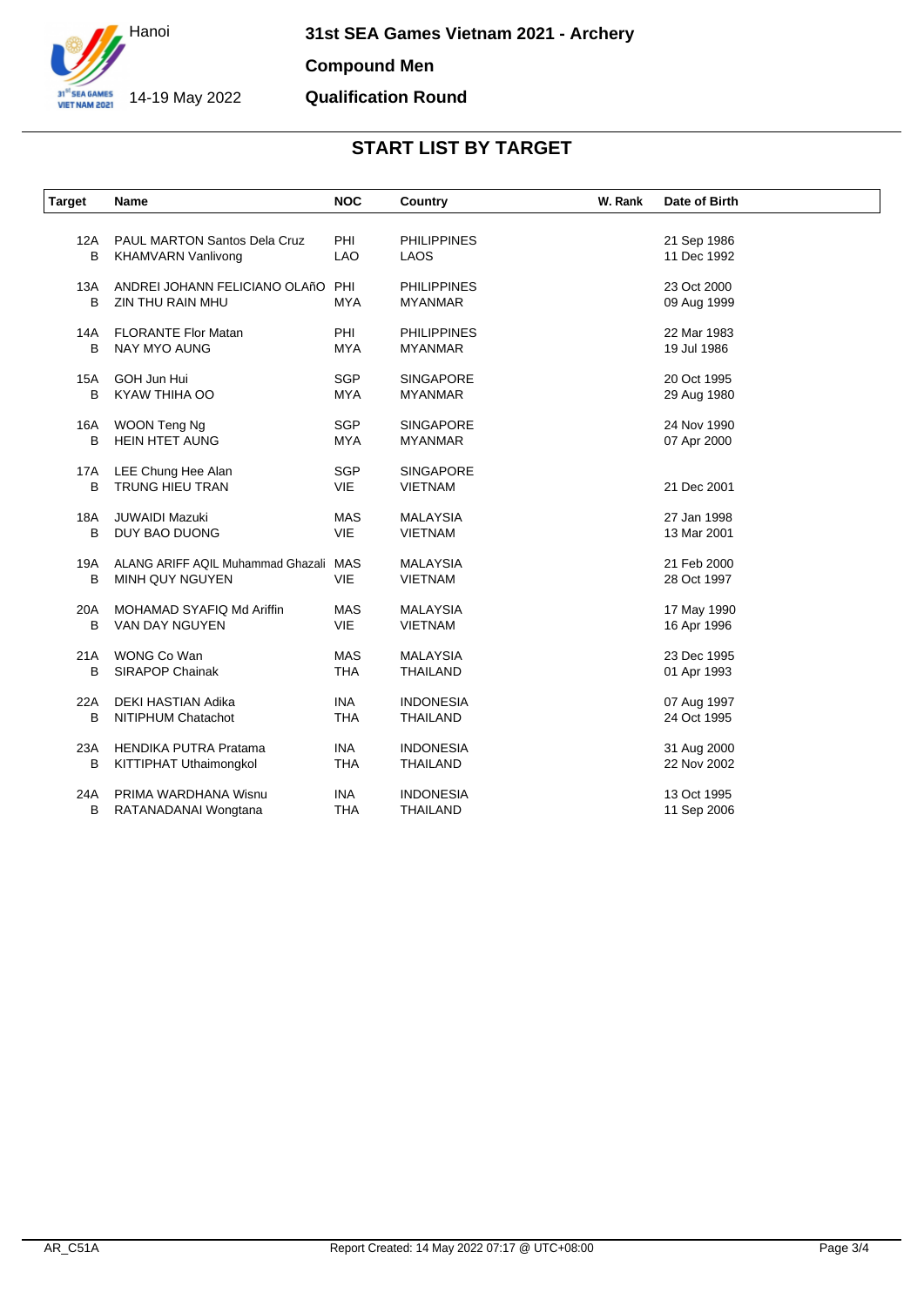

#### **Compound Men**

### **Qualification Round**

| <b>Target</b> | Name                                  | <b>NOC</b> | Country            | W. Rank | Date of Birth |
|---------------|---------------------------------------|------------|--------------------|---------|---------------|
| 12A           | <b>PAUL MARTON Santos Dela Cruz</b>   | PHI        | <b>PHILIPPINES</b> |         | 21 Sep 1986   |
| B             | <b>KHAMVARN Vanlivong</b>             | <b>LAO</b> | LAOS               |         | 11 Dec 1992   |
| 13A           | ANDREI JOHANN FELICIANO OLAñO PHI     |            | <b>PHILIPPINES</b> |         | 23 Oct 2000   |
| B             | ZIN THU RAIN MHU                      | <b>MYA</b> | <b>MYANMAR</b>     |         | 09 Aug 1999   |
| 14A           | <b>FLORANTE Flor Matan</b>            | PHI        | <b>PHILIPPINES</b> |         | 22 Mar 1983   |
| B             | NAY MYO AUNG                          | <b>MYA</b> | <b>MYANMAR</b>     |         | 19 Jul 1986   |
| 15A           | GOH Jun Hui                           | <b>SGP</b> | <b>SINGAPORE</b>   |         | 20 Oct 1995   |
| B             | KYAW THIHA OO                         | <b>MYA</b> | <b>MYANMAR</b>     |         | 29 Aug 1980   |
| 16A           | WOON Teng Ng                          | <b>SGP</b> | <b>SINGAPORE</b>   |         | 24 Nov 1990   |
| B             | <b>HEIN HTET AUNG</b>                 | <b>MYA</b> | <b>MYANMAR</b>     |         | 07 Apr 2000   |
| 17A           | LEE Chung Hee Alan                    | <b>SGP</b> | <b>SINGAPORE</b>   |         |               |
| B             | <b>TRUNG HIEU TRAN</b>                | <b>VIE</b> | <b>VIETNAM</b>     |         | 21 Dec 2001   |
| 18A           | <b>JUWAIDI Mazuki</b>                 | MAS        | <b>MALAYSIA</b>    |         | 27 Jan 1998   |
| B             | DUY BAO DUONG                         | <b>VIE</b> | <b>VIETNAM</b>     |         | 13 Mar 2001   |
| 19A           | ALANG ARIFF AQIL Muhammad Ghazali MAS |            | <b>MALAYSIA</b>    |         | 21 Feb 2000   |
| B             | MINH QUY NGUYEN                       | <b>VIE</b> | <b>VIETNAM</b>     |         | 28 Oct 1997   |
| 20A           | MOHAMAD SYAFIQ Md Ariffin             | <b>MAS</b> | <b>MALAYSIA</b>    |         | 17 May 1990   |
| В             | VAN DAY NGUYEN                        | VIE        | <b>VIETNAM</b>     |         | 16 Apr 1996   |
| 21A           | WONG Co Wan                           | <b>MAS</b> | <b>MALAYSIA</b>    |         | 23 Dec 1995   |
| В             | <b>SIRAPOP Chainak</b>                | <b>THA</b> | <b>THAILAND</b>    |         | 01 Apr 1993   |
| 22A           | DEKI HASTIAN Adika                    | <b>INA</b> | <b>INDONESIA</b>   |         | 07 Aug 1997   |
| B             | NITIPHUM Chatachot                    | <b>THA</b> | <b>THAILAND</b>    |         | 24 Oct 1995   |
| 23A           | <b>HENDIKA PUTRA Pratama</b>          | <b>INA</b> | <b>INDONESIA</b>   |         | 31 Aug 2000   |
| В             | KITTIPHAT Uthaimongkol                | <b>THA</b> | THAILAND           |         | 22 Nov 2002   |
| 24A           | PRIMA WARDHANA Wisnu                  | <b>INA</b> | <b>INDONESIA</b>   |         | 13 Oct 1995   |
| B             | RATANADANAI Wongtana                  | <b>THA</b> | <b>THAILAND</b>    |         | 11 Sep 2006   |